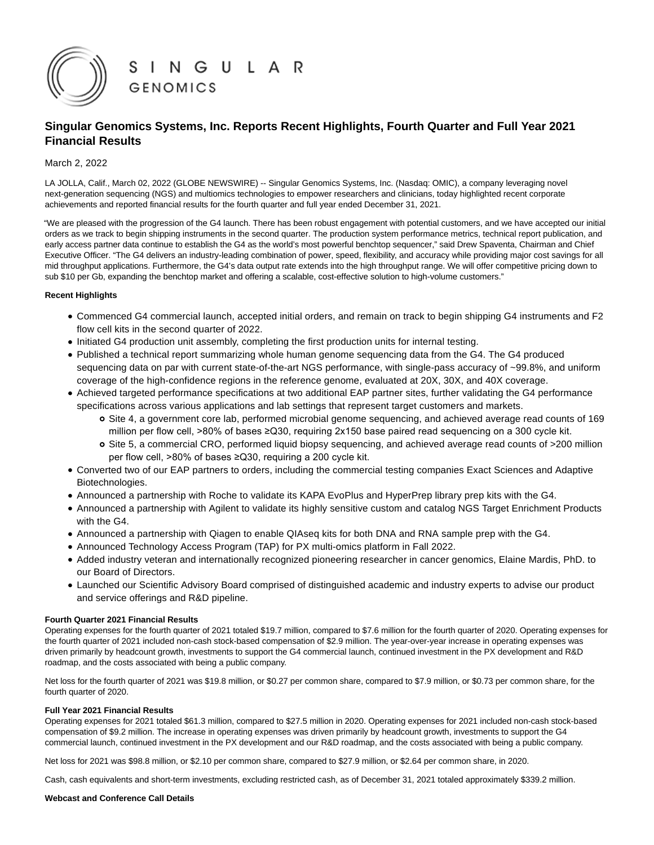

# **Singular Genomics Systems, Inc. Reports Recent Highlights, Fourth Quarter and Full Year 2021 Financial Results**

# March 2, 2022

LA JOLLA, Calif., March 02, 2022 (GLOBE NEWSWIRE) -- Singular Genomics Systems, Inc. (Nasdaq: OMIC), a company leveraging novel next-generation sequencing (NGS) and multiomics technologies to empower researchers and clinicians, today highlighted recent corporate achievements and reported financial results for the fourth quarter and full year ended December 31, 2021.

"We are pleased with the progression of the G4 launch. There has been robust engagement with potential customers, and we have accepted our initial orders as we track to begin shipping instruments in the second quarter. The production system performance metrics, technical report publication, and early access partner data continue to establish the G4 as the world's most powerful benchtop sequencer," said Drew Spaventa, Chairman and Chief Executive Officer. "The G4 delivers an industry-leading combination of power, speed, flexibility, and accuracy while providing major cost savings for all mid throughput applications. Furthermore, the G4's data output rate extends into the high throughput range. We will offer competitive pricing down to sub \$10 per Gb, expanding the benchtop market and offering a scalable, cost-effective solution to high-volume customers."

# **Recent Highlights**

- Commenced G4 commercial launch, accepted initial orders, and remain on track to begin shipping G4 instruments and F2 flow cell kits in the second quarter of 2022.
- Initiated G4 production unit assembly, completing the first production units for internal testing.
- Published a technical report summarizing whole human genome sequencing data from the G4. The G4 produced sequencing data on par with current state-of-the-art NGS performance, with single-pass accuracy of ~99.8%, and uniform coverage of the high-confidence regions in the reference genome, evaluated at 20X, 30X, and 40X coverage.
- Achieved targeted performance specifications at two additional EAP partner sites, further validating the G4 performance specifications across various applications and lab settings that represent target customers and markets.
	- Site 4, a government core lab, performed microbial genome sequencing, and achieved average read counts of 169 million per flow cell, >80% of bases ≥Q30, requiring 2x150 base paired read sequencing on a 300 cycle kit.
	- o Site 5, a commercial CRO, performed liquid biopsy sequencing, and achieved average read counts of >200 million per flow cell, >80% of bases ≥Q30, requiring a 200 cycle kit.
- Converted two of our EAP partners to orders, including the commercial testing companies Exact Sciences and Adaptive Biotechnologies.
- Announced a partnership with Roche to validate its KAPA EvoPlus and HyperPrep library prep kits with the G4.
- Announced a partnership with Agilent to validate its highly sensitive custom and catalog NGS Target Enrichment Products with the G4.
- Announced a partnership with Qiagen to enable QIAseq kits for both DNA and RNA sample prep with the G4.
- Announced Technology Access Program (TAP) for PX multi-omics platform in Fall 2022.
- Added industry veteran and internationally recognized pioneering researcher in cancer genomics, Elaine Mardis, PhD. to our Board of Directors.
- Launched our Scientific Advisory Board comprised of distinguished academic and industry experts to advise our product and service offerings and R&D pipeline.

# **Fourth Quarter 2021 Financial Results**

Operating expenses for the fourth quarter of 2021 totaled \$19.7 million, compared to \$7.6 million for the fourth quarter of 2020. Operating expenses for the fourth quarter of 2021 included non-cash stock-based compensation of \$2.9 million. The year-over-year increase in operating expenses was driven primarily by headcount growth, investments to support the G4 commercial launch, continued investment in the PX development and R&D roadmap, and the costs associated with being a public company.

Net loss for the fourth quarter of 2021 was \$19.8 million, or \$0.27 per common share, compared to \$7.9 million, or \$0.73 per common share, for the fourth quarter of 2020.

#### **Full Year 2021 Financial Results**

Operating expenses for 2021 totaled \$61.3 million, compared to \$27.5 million in 2020. Operating expenses for 2021 included non-cash stock-based compensation of \$9.2 million. The increase in operating expenses was driven primarily by headcount growth, investments to support the G4 commercial launch, continued investment in the PX development and our R&D roadmap, and the costs associated with being a public company.

Net loss for 2021 was \$98.8 million, or \$2.10 per common share, compared to \$27.9 million, or \$2.64 per common share, in 2020.

Cash, cash equivalents and short-term investments, excluding restricted cash, as of December 31, 2021 totaled approximately \$339.2 million.

# **Webcast and Conference Call Details**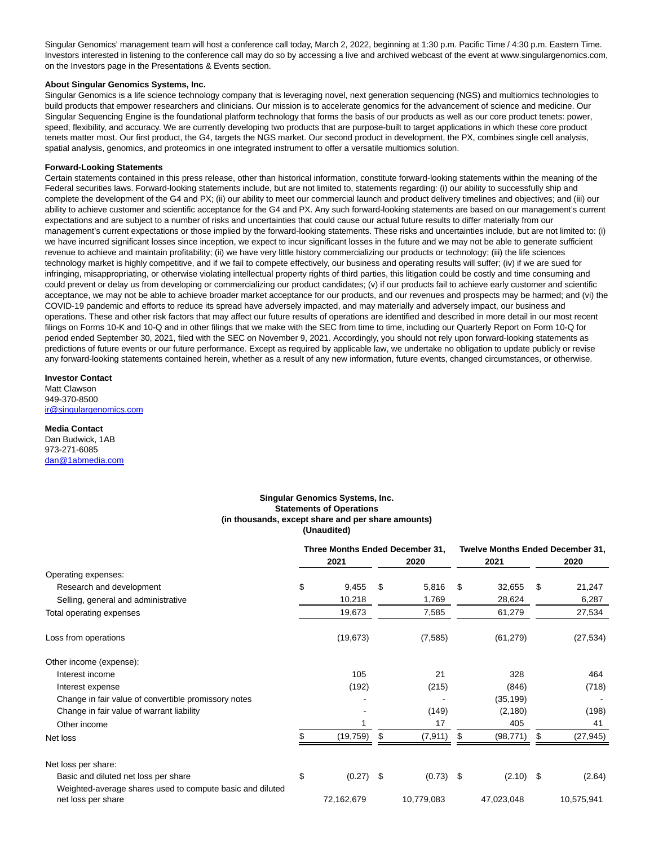Singular Genomics' management team will host a conference call today, March 2, 2022, beginning at 1:30 p.m. Pacific Time / 4:30 p.m. Eastern Time. Investors interested in listening to the conference call may do so by accessing a live and archived webcast of the event at www.singulargenomics.com, on the Investors page in the Presentations & Events section.

#### **About Singular Genomics Systems, Inc.**

Singular Genomics is a life science technology company that is leveraging novel, next generation sequencing (NGS) and multiomics technologies to build products that empower researchers and clinicians. Our mission is to accelerate genomics for the advancement of science and medicine. Our Singular Sequencing Engine is the foundational platform technology that forms the basis of our products as well as our core product tenets: power, speed, flexibility, and accuracy. We are currently developing two products that are purpose-built to target applications in which these core product tenets matter most. Our first product, the G4, targets the NGS market. Our second product in development, the PX, combines single cell analysis, spatial analysis, genomics, and proteomics in one integrated instrument to offer a versatile multiomics solution.

#### **Forward-Looking Statements**

Certain statements contained in this press release, other than historical information, constitute forward-looking statements within the meaning of the Federal securities laws. Forward-looking statements include, but are not limited to, statements regarding: (i) our ability to successfully ship and complete the development of the G4 and PX; (ii) our ability to meet our commercial launch and product delivery timelines and objectives; and (iii) our ability to achieve customer and scientific acceptance for the G4 and PX. Any such forward-looking statements are based on our management's current expectations and are subject to a number of risks and uncertainties that could cause our actual future results to differ materially from our management's current expectations or those implied by the forward-looking statements. These risks and uncertainties include, but are not limited to: (i) we have incurred significant losses since inception, we expect to incur significant losses in the future and we may not be able to generate sufficient revenue to achieve and maintain profitability; (ii) we have very little history commercializing our products or technology; (iii) the life sciences technology market is highly competitive, and if we fail to compete effectively, our business and operating results will suffer; (iv) if we are sued for infringing, misappropriating, or otherwise violating intellectual property rights of third parties, this litigation could be costly and time consuming and could prevent or delay us from developing or commercializing our product candidates; (v) if our products fail to achieve early customer and scientific acceptance, we may not be able to achieve broader market acceptance for our products, and our revenues and prospects may be harmed; and (vi) the COVID-19 pandemic and efforts to reduce its spread have adversely impacted, and may materially and adversely impact, our business and operations. These and other risk factors that may affect our future results of operations are identified and described in more detail in our most recent filings on Forms 10-K and 10-Q and in other filings that we make with the SEC from time to time, including our Quarterly Report on Form 10-Q for period ended September 30, 2021, filed with the SEC on November 9, 2021. Accordingly, you should not rely upon forward-looking statements as predictions of future events or our future performance. Except as required by applicable law, we undertake no obligation to update publicly or revise any forward-looking statements contained herein, whether as a result of any new information, future events, changed circumstances, or otherwise.

# **Investor Contact**

Matt Clawson 949-370-8500 [ir@singulargenomics.com](https://www.globenewswire.com/Tracker?data=NypXv5K5Ka3d8n_WKNzKAkmfFo8CgJyyy8me7SxDHQW0orYg6aCcW_8FpqUIq4eJG5y7u8zmore5qFrkZFENONHmRRBnlcS25PX2b-yGEY4=)

# **Media Contact**

Dan Budwick, 1AB 973-271-6085 [dan@1abmedia.com](https://www.globenewswire.com/Tracker?data=isagNaHZveDvquUryzhQ-nl0jynKVEJ1aktZNb4Ry-yycSlt_UuhZ6q5YcNLcOGMJInDZWzISKk6385LOp4gIA==)

#### **Singular Genomics Systems, Inc. Statements of Operations (in thousands, except share and per share amounts) (Unaudited)**

|                                                                                 | 2021              | Three Months Ended December 31,<br>2020 |     | <b>Twelve Months Ended December 31,</b><br>2021 | 2020            |
|---------------------------------------------------------------------------------|-------------------|-----------------------------------------|-----|-------------------------------------------------|-----------------|
| Operating expenses:                                                             |                   |                                         |     |                                                 |                 |
| Research and development                                                        | \$<br>9,455       | \$<br>5,816                             | \$  | 32,655                                          | \$<br>21,247    |
| Selling, general and administrative                                             | 10,218            | 1,769                                   |     | 28,624                                          | 6,287           |
| Total operating expenses                                                        | 19,673            | 7,585                                   |     | 61,279                                          | 27,534          |
| Loss from operations                                                            | (19, 673)         | (7, 585)                                |     | (61, 279)                                       | (27, 534)       |
| Other income (expense):                                                         |                   |                                         |     |                                                 |                 |
| Interest income                                                                 | 105               | 21                                      |     | 328                                             | 464             |
| Interest expense                                                                | (192)             | (215)                                   |     | (846)                                           | (718)           |
| Change in fair value of convertible promissory notes                            |                   |                                         |     | (35, 199)                                       |                 |
| Change in fair value of warrant liability                                       |                   | (149)                                   |     | (2, 180)                                        | (198)           |
| Other income                                                                    |                   | 17                                      |     | 405                                             | 41              |
| Net loss                                                                        | (19, 759)         | \$<br>(7, 911)                          | \$. | (98, 771)                                       | \$<br>(27, 945) |
| Net loss per share:                                                             |                   |                                         |     |                                                 |                 |
| Basic and diluted net loss per share                                            | \$<br>$(0.27)$ \$ | $(0.73)$ \$                             |     | $(2.10)$ \$                                     | (2.64)          |
| Weighted-average shares used to compute basic and diluted<br>net loss per share | 72,162,679        | 10,779,083                              |     | 47,023,048                                      | 10,575,941      |